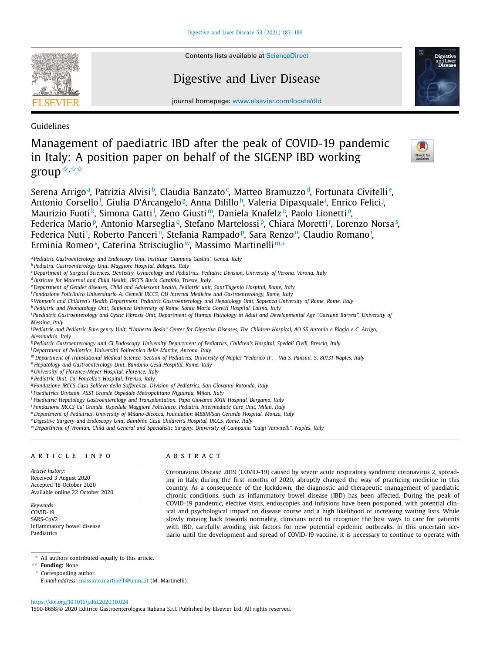Contents lists available at [ScienceDirect](http://www.ScienceDirect.com)

# Digestive and Liver Disease



journal homepage: [www.elsevier.com/locate/dld](http://www.elsevier.com/locate/dld)

Guidelines

# Management of paediatric IBD after the peak of COVID-19 pandemic in Italy: A position paper on behalf of the SIGENP IBD working group ☆,☆☆



Serena Arrigoª, Patrizia Alvisib, Claudia Banzato¢, Matteo Bramuzzoª, Fortunata Civitelliª, Antonio Corsello<sup>f</sup>, Giulia D'Arcangelo<sup>g</sup>, Anna Dilillo<sup>h</sup>, Valeria Dipasquale<sup>i</sup>, Enrico Felici<sup>j</sup>, Maurizio Fuoti<sup>k</sup>, Simona Gatti<sup>!</sup>, Zeno Giusti™, Daniela Knafelz™, Paolo Lionettiº, Federica Mario<sup>p</sup>, Antonio Marseglia<sup>q</sup>, Stefano Martelossi<sup>p</sup>, Chiara Moretti<sup>r</sup>, Lorenzo Norsas, Federica Nuti†, Roberto Panceri¤, Stefania Rampado¤, Sara Renzoº, Claudio Romano‡, Erminia Romeo<sup>v</sup>, Caterina Strisciuglio<sup>w</sup>, Massimo Martinelli<sup>m,</sup>\*

<sup>a</sup> *Pediatric Gastroenterology and Endoscopy Unit, Institute 'Giannina Gaslini', Genoa, Italy*

<sup>b</sup> *Pediatric Gastroenterology Unit, Maggiore Hospital, Bologna, Italy*

<sup>c</sup> Department of Surgical Sciences, Dentistry, Gynecology and Pediatrics, Pediatric Division, University of Verona, Verona, Italy

<sup>d</sup> *Institute for Maternal and Child Health, IRCCS Burlo Garofalo, Trieste, Italy*

<sup>e</sup> *Department of Gender diseases, Child and Adolescent health, Pediatric unit, Sant'Eugenio Hospital, Rome, Italy*

<sup>f</sup> *Fondazione Policlinico Universitario A. Gemelli IRCCS, OU Internal Medicine and Gastroenterology, Rome, Italy*

<sup>8</sup> Women's and Children's Health Department, Pediatric Gastroenterology and Hepatology Unit, Sapienza University of Rome, Rome, Italy

<sup>h</sup> *Pediatric and Neonatology Unit, Sapienza University of Rome, Santa Maria Goretti Hospital, Latina, Italy*

<sup>i</sup> Paediatric Gastroenterology and Cystic Fibrosis Unit, Department of Human Pathology in Adult and Developmental Age "Gaetano Barresi", University of *Messina, Italy*

<sup>j</sup> Pediatric and Pediatric Emergency Unit, "Umberto Bosio" Center for Digestive Diseases, The Children Hospital, AO SS Antonio e Biagio e C. Arrigo, *Alessandria, Italy*

k Pediatric Gastroenterology and GI Endoscopy, University Department of Pediatrics, Children's Hospital, Spedali Civili, Brescia, Italy

<sup>l</sup> *Department of Pediatrics, Università Politecnica delle Marche, Ancona, Italy*

m Department of Translational Medical Science, Section of Pediatrics, University of Naples "Federico II", , Via S. Pansini, 5, 80131 Naples, Italy

<sup>n</sup> *Hepatology and Gastroenterology Unit, Bambino Gesù Hospital, Rome, Italy*

<sup>o</sup> *University of Florence-Meyer Hospital, Florence, Italy*

<sup>p</sup> *Pediatric Unit, Ca' Foncello's Hospital, Treviso, Italy*

<sup>q</sup> *Fondazione IRCCS Casa Sollievo della Sofferenza, Division of Pediatrics, San Giovanni Rotondo, Italy*

<sup>r</sup> *Paediatrics Division, ASST Grande Ospedale Metropolitano Niguarda, Milan, Italy*

<sup>s</sup> *Paediatric Hepatology Gastroenterology and Transplantation, Papa Giovanni XXIII Hospital, Bergamo, Italy*

<sup>t</sup> *Fondazione IRCCS Ca' Granda, Ospedale Maggiore Policlinico, Pediatric Intermediate Care Unit, Milan, Italy*

<sup>u</sup> *Department of Pediatrics, University of Milano-Bicocca, Foundation MBBM/San Gerardo Hospital, Monza, Italy*

<sup>v</sup> *Digestive Surgery and Endoscopy Unit, Bambino Gesù Children's Hospital, IRCCS, Rome, Italy*

w Department of Woman, Child and General and Specialistic Surgery, University of Campania "Luigi Vanvitelli", Naples, Italy

### ARTICLE INFO

*Article history:* Received 3 August 2020 Accepted 18 October 2020 Available online 22 October 2020

*Keywords:* COVID-19 SARS-CoV<sub>2</sub> Inflammatory bowel disease Paediatrics

# A B S T R A C T

Coronavirus Disease 2019 (COVID-19) caused by severe acute respiratory syndrome coronavirus 2, spreading in Italy during the first months of 2020, abruptly changed the way of practicing medicine in this country. As a consequence of the lockdown, the diagnostic and therapeutic management of paediatric chronic conditions, such as inflammatory bowel disease (IBD) has been affected. During the peak of COVID-19 pandemic, elective visits, endoscopies and infusions have been postponed, with potential clinical and psychological impact on disease course and a high likelihood of increasing waiting lists. While slowly moving back towards normality, clinicians need to recognize the best ways to care for patients with IBD, carefully avoiding risk factors for new potential epidemic outbreaks. In this uncertain scenario until the development and spread of COVID-19 vaccine, it is necessary to continue to operate with

 $\dot{\phi}$  All authors contributed equally to this article.

<sup>∗</sup> Corresponding author.

*E-mail address:* [massimo.martinelli@unina.it](mailto:massimo.martinelli@unina.it) (M. Martinelli).

<https://doi.org/10.1016/j.dld.2020.10.024> 1590-8658/© 2020 Editrice Gastroenterologica Italiana S.r.l. Published by Elsevier Ltd. All rights reserved.

<sup>✩✩</sup> **Funding:** None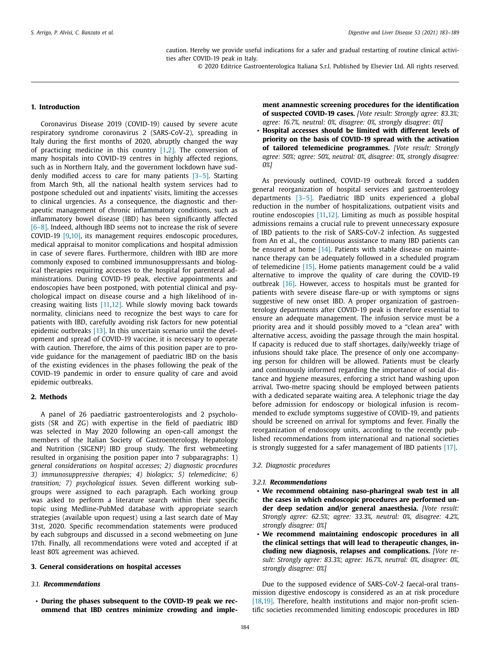caution. Hereby we provide useful indications for a safer and gradual restarting of routine clinical activities after COVID-19 peak in Italy.

© 2020 Editrice Gastroenterologica Italiana S.r.l. Published by Elsevier Ltd. All rights reserved.

# **1. Introduction**

Coronavirus Disease 2019 (COVID-19) caused by severe acute respiratory syndrome coronavirus 2 (SARS-CoV-2), spreading in Italy during the first months of 2020, abruptly changed the way of practicing medicine in this country [\[1,2\].](#page-5-0) The conversion of many hospitals into COVID-19 centres in highly affected regions, such as in Northern Italy, and the government lockdown have suddenly modified access to care for many patients  $[3-5]$ . Starting from March 9th, all the national health system services had to postpone scheduled out and inpatients' visits, limiting the accesses to clinical urgencies. As a consequence, the diagnostic and therapeutic management of chronic inflammatory conditions, such as inflammatory bowel disease (IBD) has been significantly affected [\[6–8\].](#page-5-0) Indeed, although IBD seems not to increase the risk of severe COVID-19 [\[9,10\],](#page-5-0) its management requires endoscopic procedures, medical appraisal to monitor complications and hospital admission in case of severe flares. Furthermore, children with IBD are more commonly exposed to combined immunosuppressants and biological therapies requiring accesses to the hospital for parenteral administrations. During COVID-19 peak, elective appointments and endoscopies have been postponed, with potential clinical and psychological impact on disease course and a high likelihood of increasing waiting lists [\[11,12\].](#page-5-0) While slowly moving back towards normality, clinicians need to recognize the best ways to care for patients with IBD, carefully avoiding risk factors for new potential epidemic outbreaks [\[13\].](#page-5-0) In this uncertain scenario until the development and spread of COVID-19 vaccine, it is necessary to operate with caution. Therefore, the aims of this position paper are to provide guidance for the management of paediatric IBD on the basis of the existing evidences in the phases following the peak of the COVID-19 pandemic in order to ensure quality of care and avoid epidemic outbreaks.

# **2. Methods**

A panel of 26 paediatric gastroenterologists and 2 psychologists (SR and ZG) with expertise in the field of paediatric IBD was selected in May 2020 following an open-call amongst the members of the Italian Society of Gastroenterology, Hepatology and Nutrition (SIGENP) IBD group study. The first webmeeting resulted in organising the position paper into 7 subparagraphs: 1) *general considerations on hospital accesses; 2) diagnostic procedures 3) immunosuppressive therapies; 4) biologics; 5) telemedicine; 6) transition; 7) psychological issues.* Seven different working subgroups were assigned to each paragraph. Each working group was asked to perform a literature search within their specific topic using Medline-PubMed database with appropriate search strategies (available upon request) using a last search date of May 31st, 2020. Specific recommendation statements were produced by each subgroups and discussed in a second webmeeting on June 17th. Finally, all recommendations were voted and accepted if at least 80% agreement was achieved.

# **3. General considerations on hospital accesses**

# *3.1. Recommendations*

• **During the phases subsequent to the COVID-19 peak we recommend that IBD centres minimize crowding and imple-** **ment anamnestic screening procedures for the identification of suspected COVID-19 cases.** *[Vote result: Strongly agree: 83.3%; agree: 16.7%, neutral: 0%, disagree: 0%, strongly disagree: 0%]*

• **Hospital accesses should be limited with different levels of priority on the basis of COVID-19 spread with the activation of tailored telemedicine programmes.** *[Vote result: Strongly agree: 50%; agree: 50%, neutral: 0%, disagree: 0%, strongly disagree: 0%]*

As previously outlined, COVID-19 outbreak forced a sudden general reorganization of hospital services and gastroenterology departments [\[3–5\].](#page-5-0) Paediatric IBD units experienced a global reduction in the number of hospitalizations, outpatient visits and routine endoscopies [\[11,12\].](#page-5-0) Limiting as much as possible hospital admissions remains a crucial rule to prevent unnecessary exposure of IBD patients to the risk of SARS-CoV-2 infection. As suggested from An et al., the continuous assistance to many IBD patients can be ensured at home [\[14\].](#page-5-0) Patients with stable disease on maintenance therapy can be adequately followed in a scheduled program of telemedicine [\[15\].](#page-5-0) Home patients management could be a valid alternative to improve the quality of care during the COVID-19 outbreak [\[16\].](#page-5-0) However, access to hospitals must be granted for patients with severe disease flare-up or with symptoms or signs suggestive of new onset IBD. A proper organization of gastroenterology departments after COVID-19 peak is therefore essential to ensure an adequate management. The infusion service must be a priority area and it should possibly moved to a "clean area" with alternative access, avoiding the passage through the main hospital. If capacity is reduced due to staff shortages, daily/weekly triage of infusions should take place. The presence of only one accompanying person for children will be allowed. Patients must be clearly and continuously informed regarding the importance of social distance and hygiene measures, enforcing a strict hand washing upon arrival. Two-metre spacing should be employed between patients with a dedicated separate waiting area. A telephonic triage the day before admission for endoscopy or biological infusion is recommended to exclude symptoms suggestive of COVID-19, and patients should be screened on arrival for symptoms and fever. Finally the reorganization of endoscopy units, according to the recently published recommendations from international and national societies is strongly suggested for a safer management of IBD patients [\[17\].](#page-5-0)

#### *3.2. Diagnostic procedures*

# *3.2.1. Recommendations*

- **We recommend obtaining naso-pharingeal swab test in all the cases in which endoscopic procedures are performed under deep sedation and/or general anaesthesia.** *[Vote result: Strongly agree: 62.5%; agree: 33.3%, neutral: 0%, disagree: 4.2%, strongly disagree: 0%]*
- **We recommend maintaining endoscopic procedures in all the clinical settings that will lead to therapeutic changes, including new diagnosis, relapses and complications.** *[Vote result: Strongly agree: 83.3%; agree: 16.7%, neutral: 0%, disagree: 0%, strongly disagree: 0%]*

Due to the supposed evidence of SARS-CoV-2 faecal-oral transmission digestive endoscopy is considered as an at risk procedure [\[18,19\].](#page-5-0) Therefore, health institutions and major non-profit scientific societies recommended limiting endoscopic procedures in IBD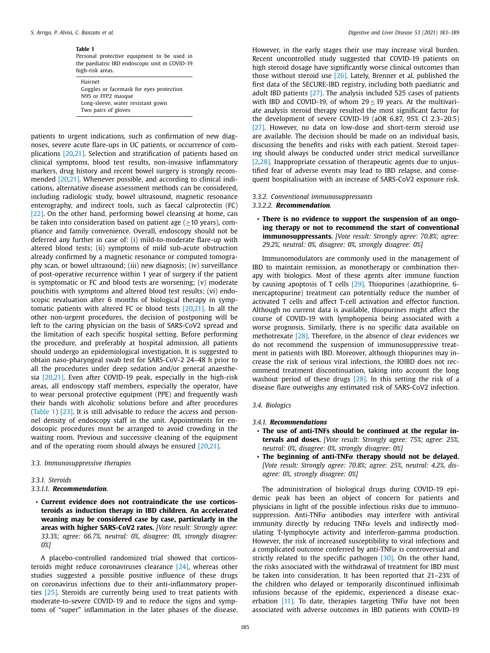#### **Table 1**

Personal protective equipment to be used in the paediatric IBD endoscopic unit in COVID-19 high-risk areas.

Hairnet Goggles or facemask for eyes protection N95 or FFP2 masque Long-sleeve, water resistant gown Two pairs of gloves

patients to urgent indications, such as confirmation of new diagnoses, severe acute flare-ups in UC patients, or occurrence of complications [\[20,21\].](#page-5-0) Selection and stratification of patients based on clinical symptoms, blood test results, non-invasive inflammatory markers, drug history and recent bowel surgery is strongly recommended [\[20,21\].](#page-5-0) Whenever possible, and according to clinical indications, alternative disease assessment methods can be considered, including radiologic study, bowel ultrasound, magnetic resonance enterography, and indirect tools, such as faecal calprotectin (FC) [\[22\].](#page-5-0) On the other hand, performing bowel cleansing at home, can be taken into consideration based on patient age ( $\geq$ 10 years), compliance and family convenience. Overall, endoscopy should not be deferred any further in case of: (i) mild-to-moderate flare-up with altered blood tests; (ii) symptoms of mild sub-acute obstruction already confirmed by a magnetic resonance or computed tomography scan, or bowel ultrasound; (iii) new diagnosis; (iv) surveillance of post-operative recurrence within 1 year of surgery if the patient is symptomatic or FC and blood tests are worsening; (v) moderate pouchitis with symptoms and altered blood test results; (vi) endoscopic revaluation after 6 months of biological therapy in symptomatic patients with altered FC or blood tests [\[20,21\].](#page-5-0) In all the other non-urgent procedures, the decision of postponing will be left to the caring physician on the basis of SARS-CoV2 spread and the limitation of each specific hospital setting. Before performing the procedure, and preferably at hospital admission, all patients should undergo an epidemiological investigation. It is suggested to obtain naso-pharyngeal swab test for SARS-CoV-2 24–48 h prior to all the procedures under deep sedation and/or general anaesthesia [\[20,21\].](#page-5-0) Even after COVID-19 peak, especially in the high-risk areas, all endoscopy staff members, especially the operator, have to wear personal protective equipment (PPE) and frequently wash their hands with alcoholic solutions before and after procedures (Table 1) [\[23\].](#page-5-0) It is still advisable to reduce the access and personnel density of endoscopy staff in the unit. Appointments for endoscopic procedures must be arranged to avoid crowding in the waiting room. Previous and successive cleaning of the equipment and of the operating room should always be ensured [\[20,21\].](#page-5-0)

# *3.3. Immunosuppressive therapies*

#### *3.3.1. Steroids*

## *3.3.1.1. Recommendation.*

• **Current evidence does not contraindicate the use corticosteroids as induction therapy in IBD children. An accelerated weaning may be considered case by case, particularly in the areas with higher SARS-CoV2 rates.** *[Vote result: Strongly agree: 33.3%; agree: 66.7%, neutral: 0%, disagree: 0%, strongly disagree: 0%]*

A placebo-controlled randomized trial showed that corticosteroids might reduce coronaviruses clearance [\[24\],](#page-5-0) whereas other studies suggested a possible positive influence of these drugs on coronavirus infections due to their anti-inflammatory properties [\[25\].](#page-5-0) Steroids are currently being used to treat patients with moderate-to-severe COVID-19 and to reduce the signs and symptoms of "super" inflammation in the later phases of the disease. However, in the early stages their use may increase viral burden. Recent uncontrolled study suggested that COVID-19 patients on high steroid dosage have significantly worse clinical outcomes than those without steroid use [\[26\].](#page-5-0) Lately, Brenner et al. published the first data of the SECURE-IBD registry, including both paediatric and adult IBD patients [\[27\].](#page-6-0) The analysis included 525 cases of patients with IBD and COVID-19, of whom  $29 \le 19$  years. At the multivariate analysis steroid therapy resulted the most significant factor for the development of severe COVID-19 (aOR 6.87, 95% CI 2.3–20.5) [\[27\].](#page-6-0) However, no data on low-dose and short-term steroid use are available. The decision should be made on an individual basis, discussing the benefits and risks with each patient. Steroid tapering should always be conducted under strict medical surveillance [\[2](#page-5-0)[,28\].](#page-6-0) Inappropriate cessation of therapeutic agents due to unjustified fear of adverse events may lead to IBD relapse, and consequent hospitalisation with an increase of SARS-CoV2 exposure risk.

# *3.3.2. Conventional immunosuppressants 3.3.2.2. Recommendation.*

• **There is no evidence to support the suspension of an ongoing therapy or not to recommend the start of conventional immunosuppressants.** *[Vote result: Strongly agree: 70.8%; agree: 29.2%, neutral: 0%, disagree: 0%, strongly disagree: 0%]*

Immunomodulators are commonly used in the management of IBD to maintain remission, as monotherapy or combination therapy with biologics. Most of these agents alter immune function by causing apoptosis of T cells [\[29\].](#page-6-0) Thiopurines (azathioprine, 6 mercaptopurine) treatment can potentially reduce the number of activated T cells and affect T-cell activation and effector function. Although no current data is available, thiopurines might affect the course of COVID-19 with lymphopenia being associated with a worse prognosis. Similarly, there is no specific data available on methotrexate [\[28\].](#page-6-0) Therefore, in the absence of clear evidences we do not recommend the suspension of immunosuppressive treatment in patients with IBD. Moreover, although thiopurines may increase the risk of serious viral infections, the IOIBD does not recommend treatment discontinuation, taking into account the long washout period of these drugs [\[28\].](#page-6-0) In this setting the risk of a disease flare outweighs any estimated risk of SARS-CoV2 infection.

## *3.4. Biologics*

# *3.4.1. Recommendations*

- **The use of anti-TNFs should be continued at the regular intervals and doses.** *[Vote result: Strongly agree: 75%; agree: 25%, neutral: 0%, disagree: 0%, strongly disagree: 0%]*
- **The beginning of anti-TNF***α* **therapy should not be delayed.** *[Vote result: Strongly agree: 70.8%; agree: 25%, neutral: 4.2%, disagree: 0%, strongly disagree: 0%]*

The administration of biological drugs during COVID-19 epidemic peak has been an object of concern for patients and physicians in light of the possible infectious risks due to immunosuppression. Anti-TNF $\alpha$  antibodies may interfere with antiviral immunity directly by reducing TNF $\alpha$  levels and indirectly modulating T-lymphocyte activity and interferon-gamma production. However, the risk of increased susceptibility to viral infections and a complicated outcome conferred by anti-TNF $\alpha$  is controversial and strictly related to the specific pathogen [\[30\].](#page-6-0) On the other hand, the risks associated with the withdrawal of treatment for IBD must be taken into consideration. It has been reported that 21–23% of the children who delayed or temporarily discontinued infliximab infusions because of the epidemic, experienced a disease exac-erbation [\[11\].](#page-5-0) To date, therapies targeting TNF $\alpha$  have not been associated with adverse outcomes in IBD patients with COVID-19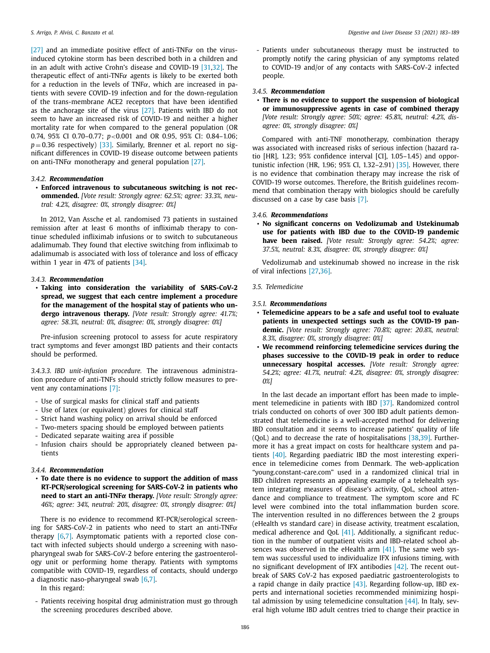[\[27\]](#page-6-0) and an immediate positive effect of anti-TNF $\alpha$  on the virusinduced cytokine storm has been described both in a children and in an adult with active Crohn's disease and COVID-19 [\[31,32\].](#page-6-0) The therapeutic effect of anti-TNF $\alpha$  agents is likely to be exerted both for a reduction in the levels of TNF $\alpha$ , which are increased in patients with severe COVID-19 infection and for the down-regulation of the trans-membrane ACE2 receptors that have been identified as the anchorage site of the virus [\[27\].](#page-6-0) Patients with IBD do not seem to have an increased risk of COVID-19 and neither a higher mortality rate for when compared to the generaI population (OR 0.74, 95% CI 0.70–0.77; *p*<0.001 and OR 0.95, 95% CI: 0.84–1.06;  $p = 0.36$  respectively) [\[33\].](#page-6-0) Similarly, Brenner et al. report no significant differences in COVID-19 disease outcome between patients on anti-TNF $\alpha$  monotherapy and general population [\[27\].](#page-6-0)

#### *3.4.2. Recommendation*

• **Enforced intravenous to subcutaneous switching is not recommended.** *[Vote result: Strongly agree: 62.5%; agree: 33.3%, neutral: 4.2%, disagree: 0%, strongly disagree: 0%]*

In 2012, Van Assche et al. randomised 73 patients in sustained remission after at least 6 months of infliximab therapy to continue scheduled infliximab infusions or to switch to subcutaneous adalimumab. They found that elective switching from infliximab to adalimumab is associated with loss of tolerance and loss of efficacy within 1 year in 47% of patients [\[34\].](#page-6-0)

#### *3.4.3. Recommendation*

• **Taking into consideration the variability of SARS-CoV-2 spread, we suggest that each centre implement a procedure for the management of the hospital stay of patients who undergo intravenous therapy.** *[Vote result: Strongly agree: 41.7%; agree: 58.3%, neutral: 0%, disagree: 0%, strongly disagree: 0%]*

Pre-infusion screening protocol to assess for acute respiratory tract symptoms and fever amongst IBD patients and their contacts should be performed.

*3.4.3.3. IBD unit-infusion procedure.* The intravenous administration procedure of anti-TNFs should strictly follow measures to prevent any contaminations [\[7\]:](#page-5-0)

- Use of surgical masks for clinical staff and patients
- Use of latex (or equivalent) gloves for clinical staff
- Strict hand washing policy on arrival should be enforced
- Two-meters spacing should be employed between patients
- Dedicated separate waiting area if possible
- Infusion chairs should be appropriately cleaned between patients

### *3.4.4. Recommendation*

• **To date there is no evidence to support the addition of mass RT-PCR/serological screening for SARS-CoV-2 in patients who need to start an anti-TNF***α* **therapy.** *[Vote result: Strongly agree: 46%; agree: 34%, neutral: 20%, disagree: 0%, strongly disagree: 0%]*

There is no evidence to recommend RT-PCR/serological screening for SARS-CoV-2 in patients who need to start an anti-TNF $\alpha$ therapy [\[6,7\].](#page-5-0) Asymptomatic patients with a reported close contact with infected subjects should undergo a screening with nasopharyngeal swab for SARS-CoV-2 before entering the gastroenterology unit or performing home therapy. Patients with symptoms compatible with COVID-19, regardless of contacts, should undergo a diagnostic naso-pharyngeal swab [\[6,7\].](#page-5-0)

In this regard:

- Patients receiving hospital drug administration must go through the screening procedures described above.

- Patients under subcutaneous therapy must be instructed to promptly notify the caring physician of any symptoms related to COVID-19 and/or of any contacts with SARS-CoV-2 infected people.

# *3.4.5. Recommendation*

• **There is no evidence to support the suspension of biological or immunosuppressive agents in case of combined therapy** *[Vote result: Strongly agree: 50%; agree: 45.8%, neutral: 4.2%, disagree: 0%, strongly disagree: 0%]*

Compared with anti-TNF monotherapy, combination therapy was associated with increased risks of serious infection (hazard ratio [HR], 1.23; 95% confidence interval [CI], 1.05–1.45) and opportunistic infection (HR, 1.96; 95% CI, 1.32–2.91) [\[35\].](#page-6-0) However, there is no evidence that combination therapy may increase the risk of COVID-19 worse outcomes. Therefore, the British guidelines recommend that combination therapy with biologics should be carefully discussed on a case by case basis [\[7\].](#page-5-0)

#### *3.4.6. Recommendations*

• **No significant concerns on Vedolizumab and Ustekinumab use for patients with IBD due to the COVID-19 pandemic have been raised.** *[Vote result: Strongly agree: 54.2%; agree: 37.5%, neutral: 8.3%, disagree: 0%, strongly disagree: 0%]*

Vedolizumab and ustekinumab showed no increase in the risk of viral infections [\[27,36\].](#page-6-0)

#### *3.5. Telemedicine*

# *3.5.1. Recommendations*

- **Telemedicine appears to be a safe and useful tool to evaluate patients in unexpected settings such as the COVID-19 pandemic.** *[Vote result: Strongly agree: 70.8%; agree: 20.8%, neutral: 8.3%, disagree: 0%, strongly disagree: 0%]*
- **We recommend reinforcing telemedicine services during the phases successive to the COVID-19 peak in order to reduce unnecessary hospital accesses.** *[Vote result: Strongly agree: 54.2%; agree: 41.7%, neutral: 4.2%, disagree: 0%, strongly disagree: 0%]*

In the last decade an important effort has been made to implement telemedicine in patients with IBD [\[37\].](#page-6-0) Randomized control trials conducted on cohorts of over 300 IBD adult patients demonstrated that telemedicine is a well-accepted method for delivering IBD consultation and it seems to increase patients' quality of life (QoL) and to decrease the rate of hospitalisations [\[38,39\].](#page-6-0) Furthermore it has a great impact on costs for healthcare system and patients [\[40\].](#page-6-0) Regarding paediatric IBD the most interesting experience in telemedicine comes from Denmark. The web-application "young.constant-care.com" used in a randomized clinical trial in IBD children represents an appealing example of a telehealth system integrating measures of disease's activity, QoL, school attendance and compliance to treatment. The symptom score and FC level were combined into the total inflammation burden score. The intervention resulted in no differences between the 2 groups (eHealth vs standard care) in disease activity, treatment escalation, medical adherence and QoL [\[41\].](#page-6-0) Additionally, a significant reduction in the number of outpatient visits and IBD-related school absences was observed in the eHealth arm  $[41]$ . The same web system was successful used to individualize IFX infusions timing, with no significant development of IFX antibodies [\[42\].](#page-6-0) The recent outbreak of SARS CoV-2 has exposed paediatric gastroenterologists to a rapid change in daily practice  $[43]$ . Regarding follow-up, IBD experts and international societies recommended minimizing hospital admission by using telemedicine consultation [\[44\].](#page-6-0) In Italy, several high volume IBD adult centres tried to change their practice in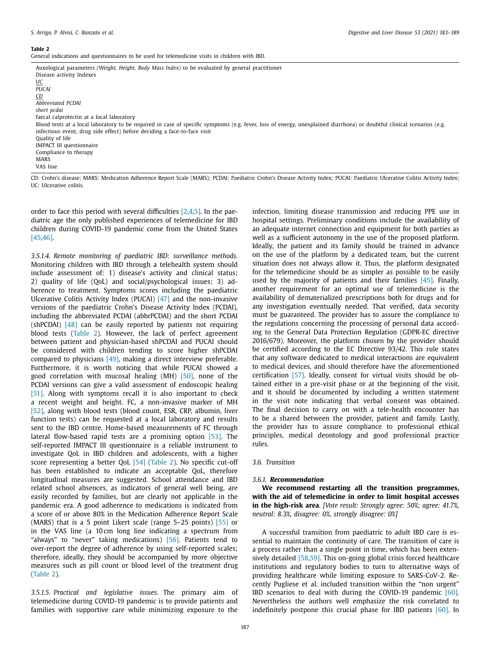General indications and questionnaires to be used for telemedicine visits in children with IBD.

| Auxological parameters (Weight, Height, Body Mass Index) to be evaluated by general practitioner<br>Disease activity Indexes                                           |
|------------------------------------------------------------------------------------------------------------------------------------------------------------------------|
| UC                                                                                                                                                                     |
| <b>PUCAI</b>                                                                                                                                                           |
| $\Omega$                                                                                                                                                               |
| Abbreviated PCDAI                                                                                                                                                      |
| short pcdai                                                                                                                                                            |
| faecal calprotectin at a local laboratory                                                                                                                              |
| Blood tests at a local laboratory to be required in case of specific symptoms (e.g. fever, loss of energy, unexplained diarrhoea) or doubtful clinical scenarios (e.g. |
| infectious event, drug side effect) before deciding a face-to-face visit                                                                                               |
| Quality of life                                                                                                                                                        |
| <b>IMPACT III</b> questionnaire                                                                                                                                        |
| Compliance to therapy                                                                                                                                                  |
| <b>MARS</b>                                                                                                                                                            |
| VAS line                                                                                                                                                               |

CD: Crohn's disease; MARS: Medication Adherence Report Scale (MARS); PCDAI: Paediatric Crohn's Disease Activity Index; PUCAI: Paediatric Ulcerative Colitis Activity Index; UC: Ulcerative colitis.

order to face this period with several difficulties [\[2,4,5\].](#page-5-0) In the paediatric age the only published experiences of telemedicine for IBD children during COVID-19 pandemic come from the United States [\[45,46\].](#page-6-0)

*3.5.1.4. Remote monitoring of paediatric IBD: surveillance methods.* Monitoring children with IBD through a telehealth system should include assessment of: 1) disease's activity and clinical status; 2) quality of life (QoL) and social/psychological issues; 3) adherence to treatment. Symptoms scores including the paediatric Ulcerative Colitis Activity Index (PUCAI) [\[47\]](#page-6-0) and the non-invasive versions of the paediatric Crohn's Disease Activity Index (PCDAI), including the abbreviated PCDAI (abbrPCDAI) and the short PCDAI (shPCDAI) [\[48\]](#page-6-0) can be easily reported by patients not requiring blood tests (Table 2). However, the lack of perfect agreement between patient and physician-based shPCDAI and PUCAI should be considered with children tending to score higher shPCDAI compared to physicians [\[49\],](#page-6-0) making a direct interview preferable. Furthermore, it is worth noticing that while PUCAI showed a good correlation with mucosal healing (MH) [\[50\],](#page-6-0) none of the PCDAI versions can give a valid assessment of endoscopic healing [\[51\].](#page-6-0) Along with symptoms recall it is also important to check a recent weight and height. FC, a non-invasive marker of MH [\[52\],](#page-6-0) along with blood tests (blood count, ESR, CRP, albumin, liver function tests) can be requested at a local laboratory and results sent to the IBD centre. Home-based measurements of FC through lateral flow-based rapid tests are a promising option [\[53\].](#page-6-0) The self-reported IMPACT III questionnaire is a reliable instrument to investigate QoL in IBD children and adolescents, with a higher score representing a better QoL [\[54\]](#page-6-0) (Table 2). No specific cut-off has been established to indicate an acceptable QoL, therefore longitudinal measures are suggested. School attendance and IBD related school absences, as indicators of general well being, are easily recorded by families, but are clearly not applicable in the pandemic era. A good adherence to medications is indicated from a score of or above 80% in the Medication Adherence Report Scale (MARS) that is a 5 point Likert scale (range 5–25 points) [\[55\]](#page-6-0) or in the VAS line (a 10 cm long line indicating a spectrum from "always" to "never" taking medications) [\[56\].](#page-6-0) Patients tend to over-report the degree of adherence by using self-reported scales; therefore, ideally, they should be accompanied by more objective measures such as pill count or blood level of the treatment drug (Table 2).

*3.5.1.5. Practical and legislative issues.* The primary aim of telemedicine during COVID-19 pandemic is to provide patients and families with supportive care while minimizing exposure to the infection, limiting disease transmission and reducing PPE use in hospital settings. Preliminary conditions include the availability of an adequate internet connection and equipment for both parties as well as a sufficient autonomy in the use of the proposed platform. Ideally, the patient and its family should be trained in advance on the use of the platform by a dedicated team, but the current situation does not always allow it. Thus, the platform designated for the telemedicine should be as simpler as possible to be easily used by the majority of patients and their families [\[45\].](#page-6-0) Finally, another requirement for an optimal use of telemedicine is the availability of dematerialized prescriptions both for drugs and for any investigation eventually needed. That verified, data security must be guaranteed. The provider has to assure the compliance to the regulations concerning the processing of personal data according to the General Data Protection Regulation (GDPR-EC directive 2016/679). Moreover, the platform chosen by the provider should be certified according to the EC Directive 93/42. This rule states that any software dedicated to medical interactions are equivalent to medical devices, and should therefore have the aforementioned certification [\[57\].](#page-6-0) Ideally, consent for virtual visits should be obtained either in a pre-visit phase or at the beginning of the visit, and it should be documented by including a written statement in the visit note indicating that verbal consent was obtained. The final decision to carry on with a tele-health encounter has to be a shared between the provider, patient and family. Lastly, the provider has to assure compliance to professional ethical principles, medical deontology and good professional practice rules.

# *3.6. Transition*

#### *3.6.1. Recommendation*

**We recommend restarting all the transition programmes, with the aid of telemedicine in order to limit hospital accesses in the high-risk area**. *[Vote result: Strongly agree: 50%; agree: 41.7%, neutral: 8.3%, disagree: 0%, strongly disagree: 0%]*

A successful transition from paediatric to adult IBD care is essential to maintain the continuity of care. The transition of care is a process rather than a single point in time, which has been exten-sively detailed [\[58,59\].](#page-6-0) This on-going global crisis forced healthcare institutions and regulatory bodies to turn to alternative ways of providing healthcare while limiting exposure to SARS-CoV-2. Recently Pugliese et al. included transition within the "non urgent" IBD scenarios to deal with during the COVID-19 pandemic [\[60\].](#page-6-0) Nevertheless the authors well emphasize the risk correlated to indefinitely postpone this crucial phase for IBD patients [\[60\].](#page-6-0) In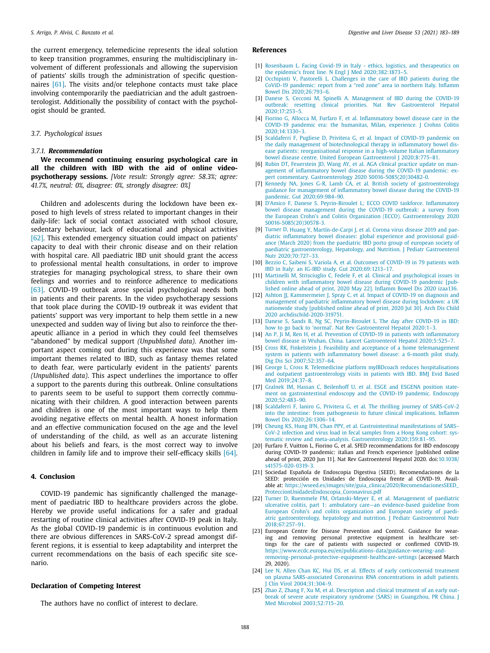<span id="page-5-0"></span>the current emergency, telemedicine represents the ideal solution to keep transition programmes, ensuring the multidisciplinary involvement of different professionals and allowing the supervision of patients' skills trough the administration of specific questionnaires [\[61\].](#page-6-0) The visits and/or telephone contacts must take place involving contemporarily the paediatrician and the adult gastroenterologist. Additionally the possibility of contact with the psychologist should be granted.

#### *3.7. Psychological issues*

#### *3.7.1. Recommendation*

**We recommend continuing ensuring psychological care in all the children with IBD with the aid of online videopsychotherapy sessions.** *[Vote result: Strongly agree: 58.3%; agree: 41.7%, neutral: 0%, disagree: 0%, strongly disagree: 0%]*

Children and adolescents during the lockdown have been exposed to high levels of stress related to important changes in their daily-life: lack of social contact associated with school closure, sedentary behaviour, lack of educational and physical activities [\[62\].](#page-6-0) This extended emergency situation could impact on patients' capacity to deal with their chronic disease and on their relation with hospital care. All paediatric IBD unit should grant the access to professional mental health consultations, in order to improve strategies for managing psychological stress, to share their own feelings and worries and to reinforce adherence to medications [\[63\].](#page-6-0) COVID-19 outbreak arose special psychological needs both in patients and their parents. In the video psychotherapy sessions that took place during the COVID-19 outbreak it was evident that patients' support was very important to help them settle in a new unexpected and sudden way of living but also to reinforce the therapeutic alliance in a period in which they could feel themselves "abandoned" by medical support *(Unpublished data)*. Another important aspect coming out during this experience was that some important themes related to IBD, such as fantasy themes related to death fear, were particularly evident in the patients' parents *(Unpublished data)*. This aspect underlines the importance to offer a support to the parents during this outbreak. Online consultations to parents seem to be useful to support them correctly communicating with their children. A good interaction between parents and children is one of the most important ways to help them avoiding negative effects on mental health. A honest information and an effective communication focused on the age and the level of understanding of the child, as well as an accurate listening about his beliefs and fears, is the most correct way to involve children in family life and to improve their self-efficacy skills [\[64\].](#page-6-0)

# **4. Conclusion**

COVID-19 pandemic has significantly challenged the management of paediatric IBD to healthcare providers across the globe. Hereby we provide useful indications for a safer and gradual restarting of routine clinical activities after COVID-19 peak in Italy. As the global COVID-19 pandemic is in continuous evolution and there are obvious differences in SARS-CoV-2 spread amongst different regions, it is essential to keep adaptability and interpret the current recommendations on the basis of each specific site scenario.

# **Declaration of Competing Interest**

The authors have no conflict of interest to declare.

#### **References**

- [1] [Rosenbaum](http://refhub.elsevier.com/S1590-8658(20)30976-2/sbref0001) L. Facing Covid-19 in Italy ethics, logistics, and therapeutics on the epidemic's front line. N Engl J Med [2020;382:1873–5.](http://refhub.elsevier.com/S1590-8658(20)30976-2/sbref0001)
- [2] [Occhipinti](http://refhub.elsevier.com/S1590-8658(20)30976-2/sbref0002) V, [Pastorelli](http://refhub.elsevier.com/S1590-8658(20)30976-2/sbref0002) L. Challenges in the care of IBD patients during the CoViD-19 pandemic: report from a "red zone" area in northern Italy. Inflamm Bowel Dis [2020;26:793–6.](http://refhub.elsevier.com/S1590-8658(20)30976-2/sbref0002)
- [3] [Danese](http://refhub.elsevier.com/S1590-8658(20)30976-2/sbref0003) S, [Cecconi](http://refhub.elsevier.com/S1590-8658(20)30976-2/sbref0003) M, [Spinelli](http://refhub.elsevier.com/S1590-8658(20)30976-2/sbref0003) A. Management of IBD during the COVID-19 outbreak: resetting clinical priorities. Nat Rev Gastroenterol Hepatol [2020;17:253–5.](http://refhub.elsevier.com/S1590-8658(20)30976-2/sbref0003)
- [4] [Fiorino](http://refhub.elsevier.com/S1590-8658(20)30976-2/sbref0004) G, [Allocca](http://refhub.elsevier.com/S1590-8658(20)30976-2/sbref0004) M, [Furfaro](http://refhub.elsevier.com/S1590-8658(20)30976-2/sbref0004) F, et [al.](http://refhub.elsevier.com/S1590-8658(20)30976-2/sbref0004) Inflammatory bowel disease care in the COVID-19 pandemic era: the humanitas, Milan, experience. J Crohns Colitis [2020;14:1330–3.](http://refhub.elsevier.com/S1590-8658(20)30976-2/sbref0004)
- [5] [Scaldaferri](http://refhub.elsevier.com/S1590-8658(20)30976-2/sbref0005) F, [Pugliese](http://refhub.elsevier.com/S1590-8658(20)30976-2/sbref0005) D, [Privitera](http://refhub.elsevier.com/S1590-8658(20)30976-2/sbref0005) G, et [al.](http://refhub.elsevier.com/S1590-8658(20)30976-2/sbref0005) Impact of COVID-19 pandemic on the daily management of [biotechnological](http://refhub.elsevier.com/S1590-8658(20)30976-2/sbref0005) therapy in inflammatory bowel disease patients: reorganisational response in a high-volume Italian inflammatory bowel disease centre. United European Gastroenterol J 2020;8:775–81.
- [6] [Rubin](http://refhub.elsevier.com/S1590-8658(20)30976-2/sbref0006) DT, [Feuerstein](http://refhub.elsevier.com/S1590-8658(20)30976-2/sbref0006) [D, [Wang AY,](http://refhub.elsevier.com/S1590-8658(20)30976-2/sbref0006) et [al.](http://refhub.elsevier.com/S1590-8658(20)30976-2/sbref0006) AGA clinical practice update on management of inflammatory bowel disease during the COVID-19 pandemic: expert commentary. Gastroenterology 2020 [S0016-5085\(20\)30482-0.](http://refhub.elsevier.com/S1590-8658(20)30976-2/sbref0006)
- [7] [Kennedy](http://refhub.elsevier.com/S1590-8658(20)30976-2/sbref0007) NA, [Jones](http://refhub.elsevier.com/S1590-8658(20)30976-2/sbref0007) G-R, [Lamb](http://refhub.elsevier.com/S1590-8658(20)30976-2/sbref0007) CA, et [al.](http://refhub.elsevier.com/S1590-8658(20)30976-2/sbref0007) British society of gastroenterology guidance for management of inflammatory bowel disease during the COVID-19 pandemic. Gut [2020;69:984–90.](http://refhub.elsevier.com/S1590-8658(20)30976-2/sbref0007)
- [8] [D'Amico](http://refhub.elsevier.com/S1590-8658(20)30976-2/sbref0008) F, [Danese](http://refhub.elsevier.com/S1590-8658(20)30976-2/sbref0008) S. Peyrin-Biroulet L; ECCO COVID taskforce. Inflammatory bowel disease management during the COVID-19 outbreak: a survey from the European Crohn's and Colitis Organization (ECCO). Gastroenterology 2020 [S0016-5085\(20\)30578-3.](http://refhub.elsevier.com/S1590-8658(20)30976-2/sbref0008)
- [9] [Turner](http://refhub.elsevier.com/S1590-8658(20)30976-2/sbref0009) D, [Huang](http://refhub.elsevier.com/S1590-8658(20)30976-2/sbref0009) Y, [Martín-de-Carpi](http://refhub.elsevier.com/S1590-8658(20)30976-2/sbref0009) J, et [al.](http://refhub.elsevier.com/S1590-8658(20)30976-2/sbref0009) Corona virus disease 2019 and paediatric inflammatory bowel diseases: global experience and provisional guidance (March 2020) from the paediatric IBD porto group of european society of paediatric [gastroenterology,](http://refhub.elsevier.com/S1590-8658(20)30976-2/sbref0009) Hepatology, and Nutrition. J Pediatr Gastroenterol Nutr 2020;70:727–33.
- [10] [Bezzio](http://refhub.elsevier.com/S1590-8658(20)30976-2/sbref0010) C, [Saibeni](http://refhub.elsevier.com/S1590-8658(20)30976-2/sbref0010) S, [Variola](http://refhub.elsevier.com/S1590-8658(20)30976-2/sbref0010) A, et [al.](http://refhub.elsevier.com/S1590-8658(20)30976-2/sbref0010) Outcomes of COVID-19 in 79 patients with IBD in Italy: an IG-IBD study. Gut [2020;69:1213–17.](http://refhub.elsevier.com/S1590-8658(20)30976-2/sbref0010)
- [11] [Martinelli](http://refhub.elsevier.com/S1590-8658(20)30976-2/sbref0011) M, [Strisciuglio](http://refhub.elsevier.com/S1590-8658(20)30976-2/sbref0011) C, [Fedele](http://refhub.elsevier.com/S1590-8658(20)30976-2/sbref0011) F, et [al.](http://refhub.elsevier.com/S1590-8658(20)30976-2/sbref0011) Clinical and psychological issues in children with [inflammatory](http://refhub.elsevier.com/S1590-8658(20)30976-2/sbref0011) bowel disease during COVID-19 pandemic [published online ahead of print, 2020 May 22]. Inflamm Bowel Dis 2020 izaa136.
- [12] [Ashton](http://refhub.elsevier.com/S1590-8658(20)30976-2/sbref0012) JJ, [Kammermeier](http://refhub.elsevier.com/S1590-8658(20)30976-2/sbref0012) J, [Spray](http://refhub.elsevier.com/S1590-8658(20)30976-2/sbref0012) C, et [al.](http://refhub.elsevier.com/S1590-8658(20)30976-2/sbref0012) Impact of COVID-19 on diagnosis and management of paediatric inflammatory bowel disease during lockdown: a UK nationwide study [published online ahead of print, 2020 Jul 30]. Arch Dis Child 2020 [archdischild-2020-319751.](http://refhub.elsevier.com/S1590-8658(20)30976-2/sbref0012)
- [13] [Danese](http://refhub.elsevier.com/S1590-8658(20)30976-2/sbref0013) S, [Sands](http://refhub.elsevier.com/S1590-8658(20)30976-2/sbref0013) B, [Ng](http://refhub.elsevier.com/S1590-8658(20)30976-2/sbref0013) SC, [Peyrin-Biroulet](http://refhub.elsevier.com/S1590-8658(20)30976-2/sbref0013) L. The day after COVID-19 in IBD: how to go back to 'normal'. Nat Rev Gastroenterol Hepatol 2020:1–3.
- [14] [An](http://refhub.elsevier.com/S1590-8658(20)30976-2/sbref0014) P, Ji [M,](http://refhub.elsevier.com/S1590-8658(20)30976-2/sbref0014) [Ren](http://refhub.elsevier.com/S1590-8658(20)30976-2/sbref0014) H, et [al.](http://refhub.elsevier.com/S1590-8658(20)30976-2/sbref0014) Prevention of COVID-19 in patients with inflammatory bowel disease in Wuhan, China. Lancet Gastroenterol Hepatol [2020;5:525–7.](http://refhub.elsevier.com/S1590-8658(20)30976-2/sbref0014)
- [15] [Cross](http://refhub.elsevier.com/S1590-8658(20)30976-2/sbref0015) RK, [Finkelstein](http://refhub.elsevier.com/S1590-8658(20)30976-2/sbref0015) J. Feasibility and acceptance of a home telemanagement system in patients with inflammatory bowel disease: a 6-month pilot study. Dig Dis Sci [2007;52:357–64.](http://refhub.elsevier.com/S1590-8658(20)30976-2/sbref0015)
- [16] [George](http://refhub.elsevier.com/S1590-8658(20)30976-2/sbref0016) L, [Cross](http://refhub.elsevier.com/S1590-8658(20)30976-2/sbref0016) R. Telemedicine platform myIBDcoach reduces hospitalisations and outpatient [gastroenterology](http://refhub.elsevier.com/S1590-8658(20)30976-2/sbref0016) visits in patients with IBD. BMJ Evid Based Med 2019;24:37–8.
- [17] [Gralnek](http://refhub.elsevier.com/S1590-8658(20)30976-2/sbref0017) IM, [Hassan](http://refhub.elsevier.com/S1590-8658(20)30976-2/sbref0017) C, [Beilenhoff U,](http://refhub.elsevier.com/S1590-8658(20)30976-2/sbref0017) et [al.](http://refhub.elsevier.com/S1590-8658(20)30976-2/sbref0017) ESGE and ESGENA position statement on gastrointestinal endoscopy and the COVID-19 pandemic. Endoscopy [2020;52:483–90.](http://refhub.elsevier.com/S1590-8658(20)30976-2/sbref0017)
- [18] [Scaldaferri](http://refhub.elsevier.com/S1590-8658(20)30976-2/sbref0018) F, [Ianiro](http://refhub.elsevier.com/S1590-8658(20)30976-2/sbref0018) G, [Privitera](http://refhub.elsevier.com/S1590-8658(20)30976-2/sbref0018) G, et [al.](http://refhub.elsevier.com/S1590-8658(20)30976-2/sbref0018) The thrilling journey of SARS-CoV-2 into the intestine: from pathogenesis to future clinical implications. Inflamm Bowel Dis [2020;26:1306–14.](http://refhub.elsevier.com/S1590-8658(20)30976-2/sbref0018)
- [19] [Cheung](http://refhub.elsevier.com/S1590-8658(20)30976-2/sbref0019) KS, [Hung](http://refhub.elsevier.com/S1590-8658(20)30976-2/sbref0019) IFN, [Chan](http://refhub.elsevier.com/S1590-8658(20)30976-2/sbref0019) PPY, et [al.](http://refhub.elsevier.com/S1590-8658(20)30976-2/sbref0019) Gastrointestinal manifestations of SARS– CoV-2 infection and virus load in fecal samples from a Hong Kong cohort: systematic review and meta-analysis. [Gastroenterology](http://refhub.elsevier.com/S1590-8658(20)30976-2/sbref0019) 2020;159:81–95.
- [20] Furfaro F, Vuitton L, Fiorino G, et al. SFED recommendations for IBD endoscopy during COVID-19 pandemic: italian and French experience [published online ahead of print, 2020 Jun 11]. Nat Rev Gastroenterol Hepatol 2020. doi:10.1038/ [s41575-020-0319-3.](https://doi.org/10.1038/s41575-020-0319-3)
- [21] Sociedad Española de Endoscopia Digestiva (SEED). Recomendaciones de la SEED: protección en Unidades de Endoscopia frente al COVID-19. Available at: [https://wseed.es/images/site/guia\\_clinica/2020/RecomendacionesSEED\\_](https://wseed.es/images/site/guia_clinica/2020/RecomendacionesSEED_ProteccionUnidadesEndoscopia_Coronavirus.pdf) ProteccionUnidadesEndoscopia\_Coronavirus.pdf
- [22] [Turner](http://refhub.elsevier.com/S1590-8658(20)30976-2/sbref0022) D, [Ruemmele](http://refhub.elsevier.com/S1590-8658(20)30976-2/sbref0022) FM, [Orlanski-Meyer](http://refhub.elsevier.com/S1590-8658(20)30976-2/sbref0022) E, et [al.](http://refhub.elsevier.com/S1590-8658(20)30976-2/sbref0022) Management of paediatric ulcerative colitis, part 1: ambulatory care—an evidence-based guideline from European Crohn's and colitis organization and European society of paediatric [gastroenterology,](http://refhub.elsevier.com/S1590-8658(20)30976-2/sbref0022) hepatology and nutrition. J Pediatr Gastroenterol Nutr 2018;67:257–91.
- [23] European Centre for Disease Prevention and Control. Guidance for wearing and removing personal protective equipment in healthcare settings for the care of patients with suspected or confirmed COVID-19. [https://www.ecdc.europa.eu/en/publications-data/guidance-wearing-and](https://www.ecdc.europa.eu/en/publications-data/guidance-wearing-and-removing-personal-protective-equipment-healthcare-settings)removing-personal-protective-equipment-healthcare-settings (accessed March 29, 2020).
- [24] [Lee](http://refhub.elsevier.com/S1590-8658(20)30976-2/sbref0024) N, [Allen](http://refhub.elsevier.com/S1590-8658(20)30976-2/sbref0024) Chan KC, [Hui](http://refhub.elsevier.com/S1590-8658(20)30976-2/sbref0024) DS, et [al.](http://refhub.elsevier.com/S1590-8658(20)30976-2/sbref0024) Effects of early corticosteroid treatment on plasma [SARS-associated](http://refhub.elsevier.com/S1590-8658(20)30976-2/sbref0024) Coronavirus RNA concentrations in adult patients. Clin Virol 2004:31:304-9.
- [25] [Zhao](http://refhub.elsevier.com/S1590-8658(20)30976-2/sbref0025) Z, [Zhang](http://refhub.elsevier.com/S1590-8658(20)30976-2/sbref0025) F, [Xu](http://refhub.elsevier.com/S1590-8658(20)30976-2/sbref0025) M, et [al.](http://refhub.elsevier.com/S1590-8658(20)30976-2/sbref0025) Description and clinical treatment of an early outbreak of severe acute respiratory syndrome (SARS) in Guangzhou, PR China. J Med Microbiol [2003;52:715–20.](http://refhub.elsevier.com/S1590-8658(20)30976-2/sbref0025)